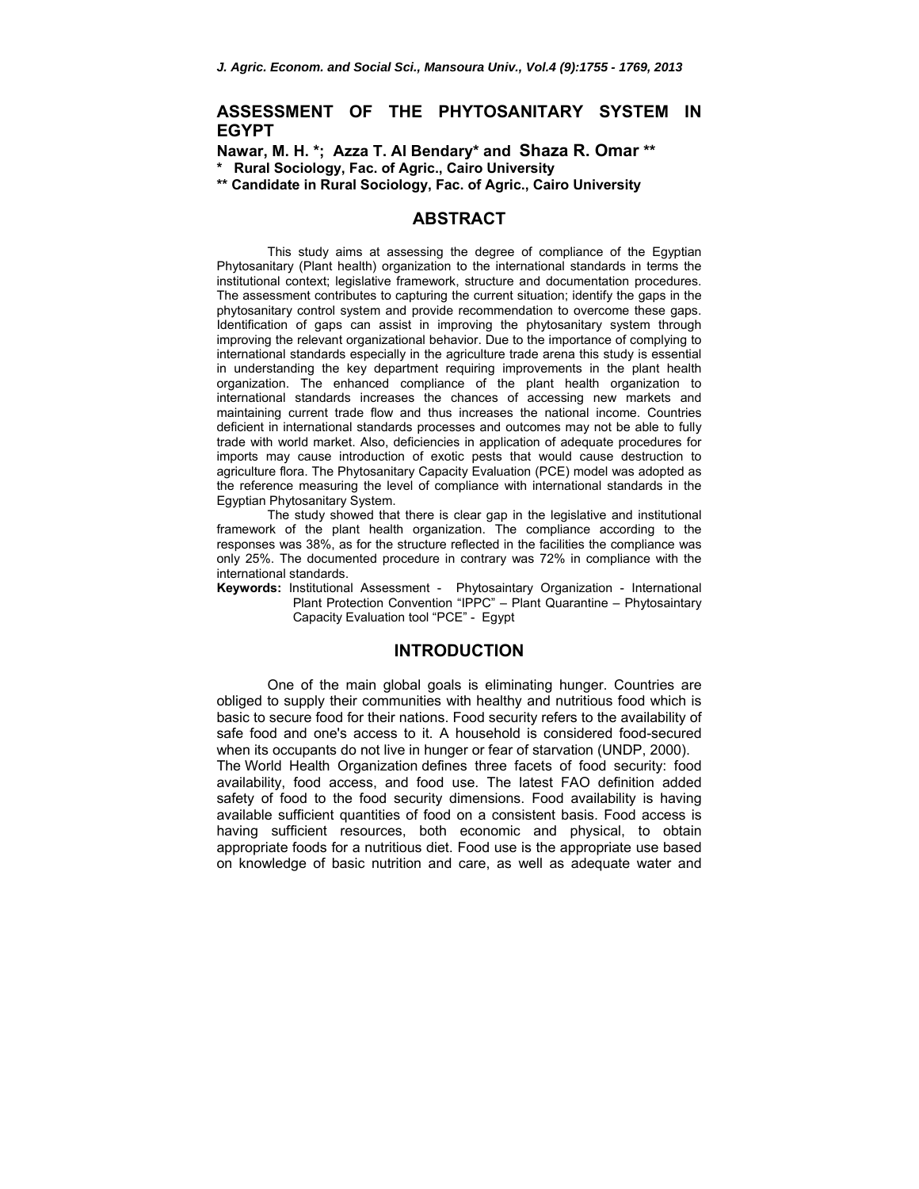# **ASSESSMENT OF THE PHYTOSANITARY SYSTEM IN EGYPT**

**Nawar, M. H. \*; Azza T. Al Bendary\* and Shaza R. Omar \*\* \* Rural Sociology, Fac. of Agric., Cairo University** 

**\*\* Candidate in Rural Sociology, Fac. of Agric., Cairo University** 

## **ABSTRACT**

This study aims at assessing the degree of compliance of the Egyptian Phytosanitary (Plant health) organization to the international standards in terms the institutional context; legislative framework, structure and documentation procedures. The assessment contributes to capturing the current situation; identify the gaps in the phytosanitary control system and provide recommendation to overcome these gaps. Identification of gaps can assist in improving the phytosanitary system through improving the relevant organizational behavior. Due to the importance of complying to international standards especially in the agriculture trade arena this study is essential in understanding the key department requiring improvements in the plant health organization. The enhanced compliance of the plant health organization to international standards increases the chances of accessing new markets and maintaining current trade flow and thus increases the national income. Countries deficient in international standards processes and outcomes may not be able to fully trade with world market. Also, deficiencies in application of adequate procedures for imports may cause introduction of exotic pests that would cause destruction to agriculture flora. The Phytosanitary Capacity Evaluation (PCE) model was adopted as the reference measuring the level of compliance with international standards in the Egyptian Phytosanitary System.

The study showed that there is clear gap in the legislative and institutional framework of the plant health organization. The compliance according to the responses was 38%, as for the structure reflected in the facilities the compliance was only 25%. The documented procedure in contrary was 72% in compliance with the international standards.

**Keywords:** Institutional Assessment - Phytosaintary Organization - International Plant Protection Convention "IPPC" – Plant Quarantine – Phytosaintary Capacity Evaluation tool "PCE" - Egypt

## **INTRODUCTION**

One of the main global goals is eliminating hunger. Countries are obliged to supply their communities with healthy and nutritious food which is basic to secure food for their nations. Food security refers to the availability of safe food and one's access to it. A household is considered food-secured when its occupants do not live in hunger or fear of starvation (UNDP, 2000).

The World Health Organization defines three facets of food security: food availability, food access, and food use. The latest FAO definition added safety of food to the food security dimensions. Food availability is having available sufficient quantities of food on a consistent basis. Food access is having sufficient resources, both economic and physical, to obtain appropriate foods for a nutritious diet. Food use is the appropriate use based on knowledge of basic nutrition and care, as well as adequate water and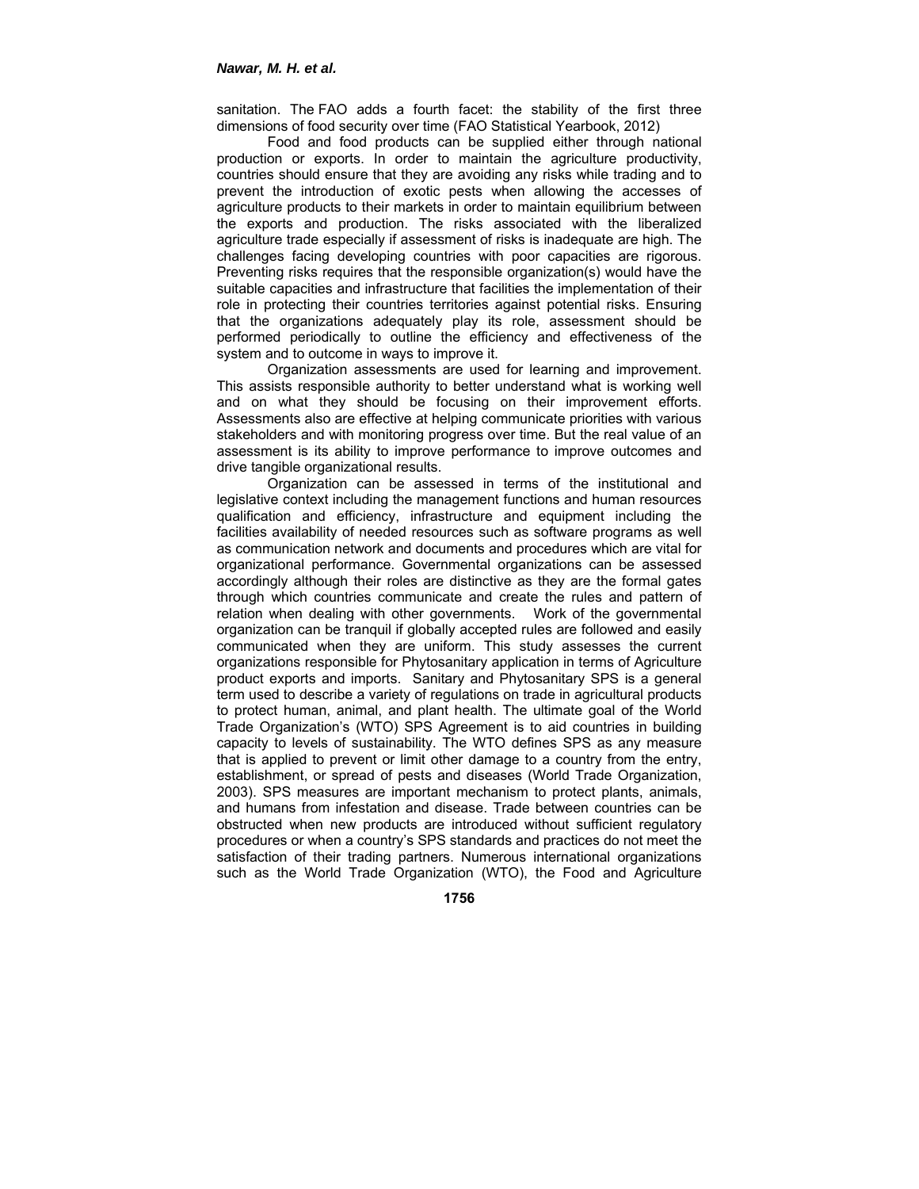sanitation. The FAO adds a fourth facet: the stability of the first three dimensions of food security over time (FAO Statistical Yearbook, 2012)

Food and food products can be supplied either through national production or exports. In order to maintain the agriculture productivity, countries should ensure that they are avoiding any risks while trading and to prevent the introduction of exotic pests when allowing the accesses of agriculture products to their markets in order to maintain equilibrium between the exports and production. The risks associated with the liberalized agriculture trade especially if assessment of risks is inadequate are high. The challenges facing developing countries with poor capacities are rigorous. Preventing risks requires that the responsible organization(s) would have the suitable capacities and infrastructure that facilities the implementation of their role in protecting their countries territories against potential risks. Ensuring that the organizations adequately play its role, assessment should be performed periodically to outline the efficiency and effectiveness of the system and to outcome in ways to improve it.

Organization assessments are used for learning and improvement. This assists responsible authority to better understand what is working well and on what they should be focusing on their improvement efforts. Assessments also are effective at helping communicate priorities with various stakeholders and with monitoring progress over time. But the real value of an assessment is its ability to improve performance to improve outcomes and drive tangible organizational results.

Organization can be assessed in terms of the institutional and legislative context including the management functions and human resources qualification and efficiency, infrastructure and equipment including the facilities availability of needed resources such as software programs as well as communication network and documents and procedures which are vital for organizational performance. Governmental organizations can be assessed accordingly although their roles are distinctive as they are the formal gates through which countries communicate and create the rules and pattern of relation when dealing with other governments. Work of the governmental organization can be tranquil if globally accepted rules are followed and easily communicated when they are uniform. This study assesses the current organizations responsible for Phytosanitary application in terms of Agriculture product exports and imports. Sanitary and Phytosanitary SPS is a general term used to describe a variety of regulations on trade in agricultural products to protect human, animal, and plant health. The ultimate goal of the World Trade Organization's (WTO) SPS Agreement is to aid countries in building capacity to levels of sustainability. The WTO defines SPS as any measure that is applied to prevent or limit other damage to a country from the entry, establishment, or spread of pests and diseases (World Trade Organization, 2003). SPS measures are important mechanism to protect plants, animals, and humans from infestation and disease. Trade between countries can be obstructed when new products are introduced without sufficient regulatory procedures or when a country's SPS standards and practices do not meet the satisfaction of their trading partners. Numerous international organizations such as the World Trade Organization (WTO), the Food and Agriculture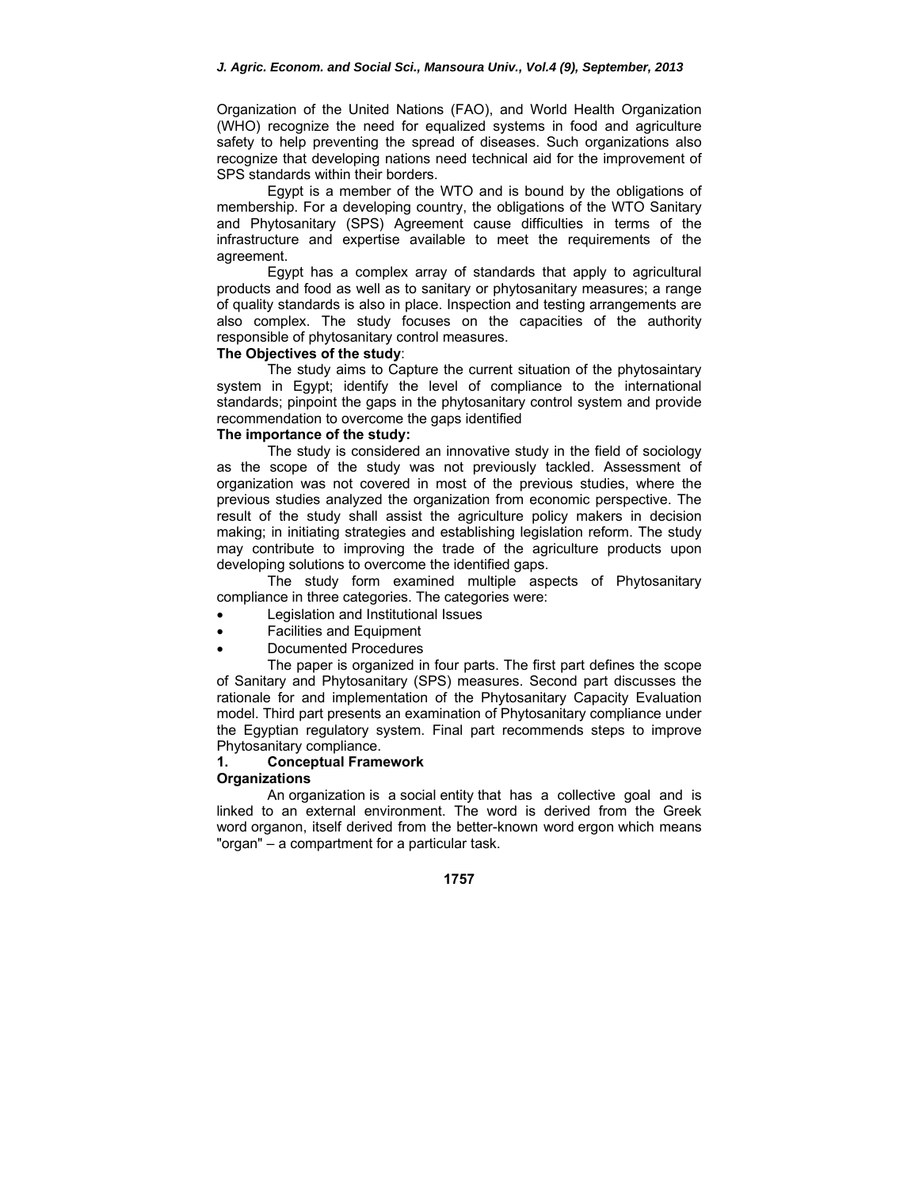Organization of the United Nations (FAO), and World Health Organization (WHO) recognize the need for equalized systems in food and agriculture safety to help preventing the spread of diseases. Such organizations also recognize that developing nations need technical aid for the improvement of SPS standards within their borders.

Egypt is a member of the WTO and is bound by the obligations of membership. For a developing country, the obligations of the WTO Sanitary and Phytosanitary (SPS) Agreement cause difficulties in terms of the infrastructure and expertise available to meet the requirements of the agreement.

Egypt has a complex array of standards that apply to agricultural products and food as well as to sanitary or phytosanitary measures; a range of quality standards is also in place. Inspection and testing arrangements are also complex. The study focuses on the capacities of the authority responsible of phytosanitary control measures.

## **The Objectives of the study**:

The study aims to Capture the current situation of the phytosaintary system in Egypt; identify the level of compliance to the international standards; pinpoint the gaps in the phytosanitary control system and provide recommendation to overcome the gaps identified

## **The importance of the study:**

The study is considered an innovative study in the field of sociology as the scope of the study was not previously tackled. Assessment of organization was not covered in most of the previous studies, where the previous studies analyzed the organization from economic perspective. The result of the study shall assist the agriculture policy makers in decision making; in initiating strategies and establishing legislation reform. The study may contribute to improving the trade of the agriculture products upon developing solutions to overcome the identified gaps.

The study form examined multiple aspects of Phytosanitary compliance in three categories. The categories were:

- Legislation and Institutional Issues
- Facilities and Equipment
- Documented Procedures

The paper is organized in four parts. The first part defines the scope of Sanitary and Phytosanitary (SPS) measures. Second part discusses the rationale for and implementation of the Phytosanitary Capacity Evaluation model. Third part presents an examination of Phytosanitary compliance under the Egyptian regulatory system. Final part recommends steps to improve Phytosanitary compliance.

## **1. Conceptual Framework**

#### **Organizations**

An organization is a social entity that has a collective goal and is linked to an external environment. The word is derived from the Greek word organon, itself derived from the better-known word ergon which means "organ" – a compartment for a particular task.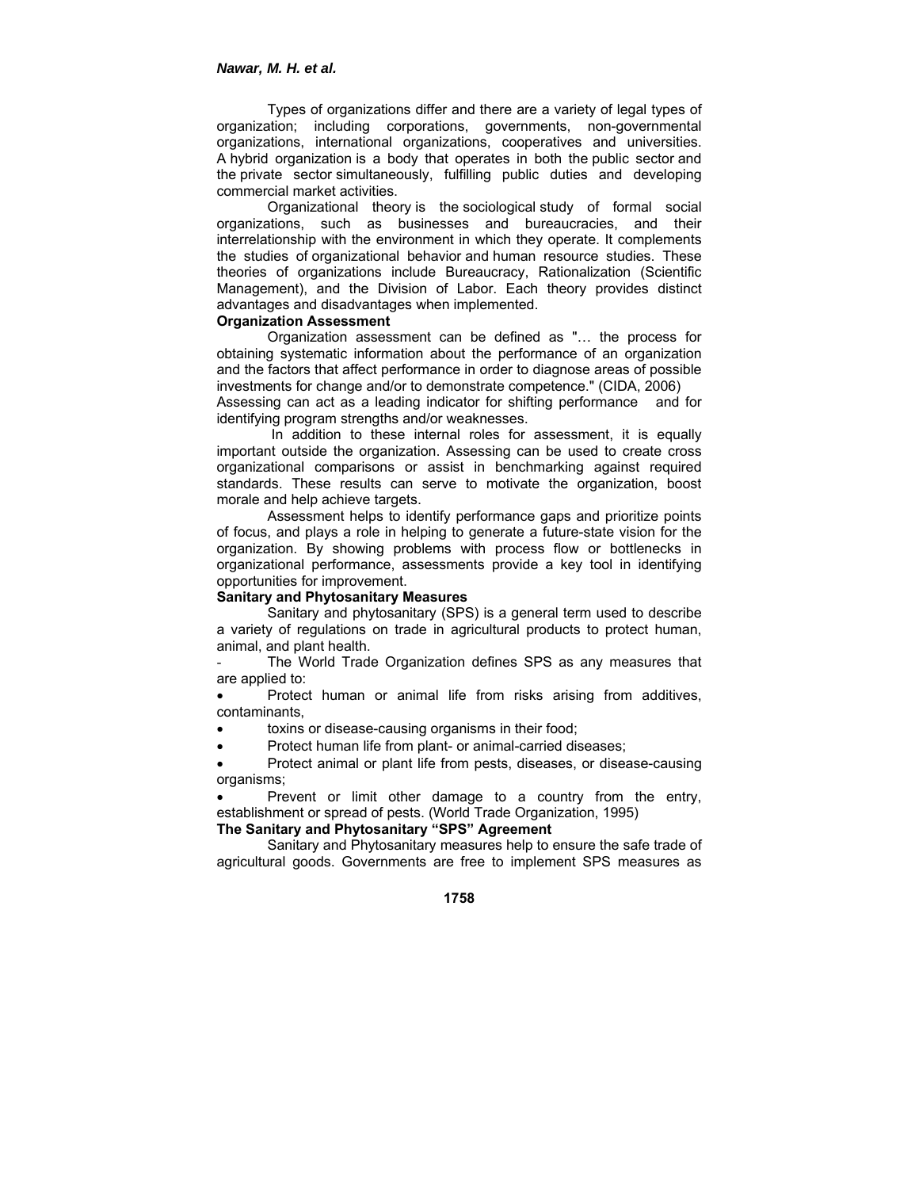Types of organizations differ and there are a variety of legal types of organization; including corporations, governments, non-governmental organizations, international organizations, cooperatives and universities. A hybrid organization is a body that operates in both the public sector and the private sector simultaneously, fulfilling public duties and developing commercial market activities.

Organizational theory is the sociological study of formal social organizations, such as businesses and bureaucracies, and their interrelationship with the environment in which they operate. It complements the studies of organizational behavior and human resource studies. These theories of organizations include Bureaucracy, Rationalization (Scientific Management), and the Division of Labor. Each theory provides distinct advantages and disadvantages when implemented.

## **Organization Assessment**

Organization assessment can be defined as "… the process for obtaining systematic information about the performance of an organization and the factors that affect performance in order to diagnose areas of possible investments for change and/or to demonstrate competence." (CIDA, 2006)

Assessing can act as a leading indicator for shifting performance and for identifying program strengths and/or weaknesses.

 In addition to these internal roles for assessment, it is equally important outside the organization. Assessing can be used to create cross organizational comparisons or assist in benchmarking against required standards. These results can serve to motivate the organization, boost morale and help achieve targets.

Assessment helps to identify performance gaps and prioritize points of focus, and plays a role in helping to generate a future-state vision for the organization. By showing problems with process flow or bottlenecks in organizational performance, assessments provide a key tool in identifying opportunities for improvement.

## **Sanitary and Phytosanitary Measures**

Sanitary and phytosanitary (SPS) is a general term used to describe a variety of regulations on trade in agricultural products to protect human, animal, and plant health.

The World Trade Organization defines SPS as any measures that are applied to:

 Protect human or animal life from risks arising from additives, contaminants,

- toxins or disease-causing organisms in their food;
- Protect human life from plant- or animal-carried diseases;

 Protect animal or plant life from pests, diseases, or disease-causing organisms;

Prevent or limit other damage to a country from the entry. establishment or spread of pests. (World Trade Organization, 1995)

**The Sanitary and Phytosanitary "SPS" Agreement** 

Sanitary and Phytosanitary measures help to ensure the safe trade of agricultural goods. Governments are free to implement SPS measures as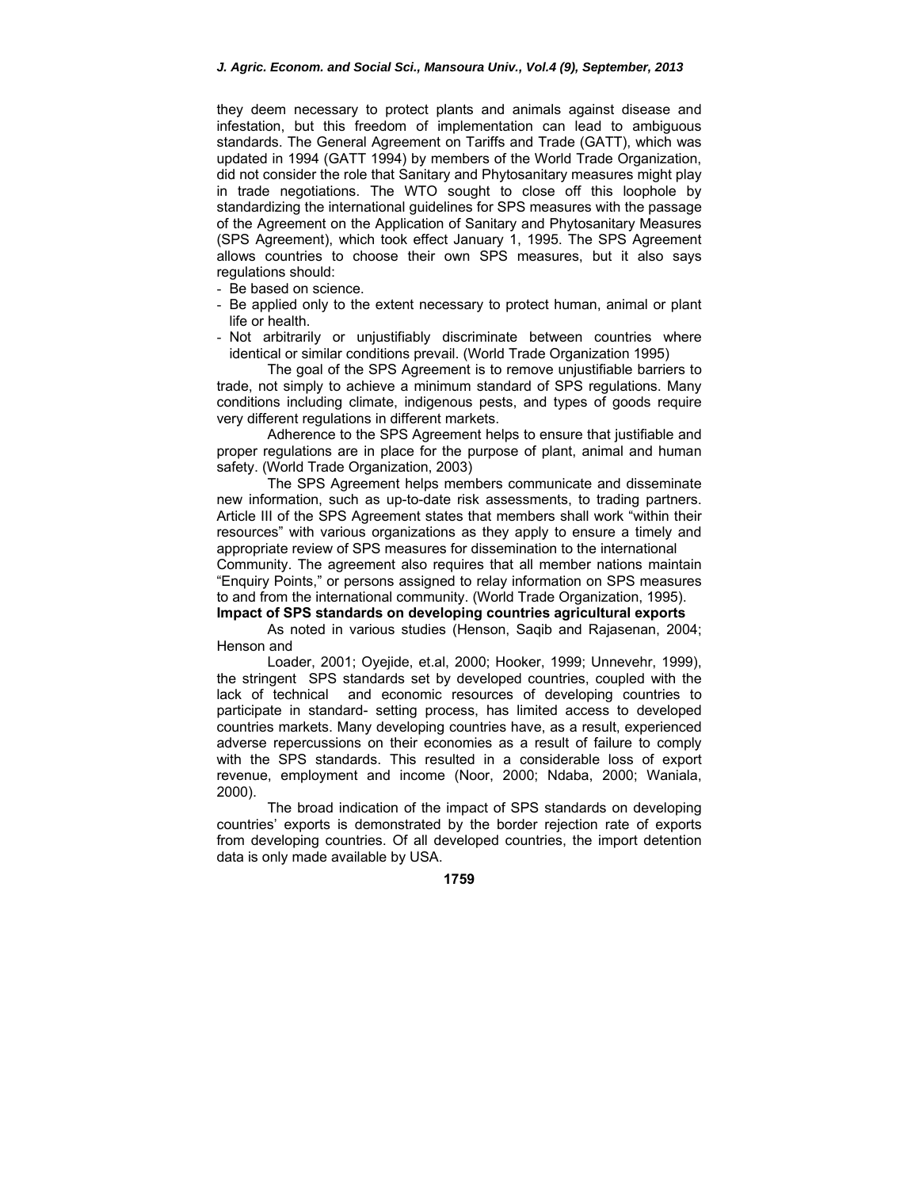they deem necessary to protect plants and animals against disease and infestation, but this freedom of implementation can lead to ambiguous standards. The General Agreement on Tariffs and Trade (GATT), which was updated in 1994 (GATT 1994) by members of the World Trade Organization, did not consider the role that Sanitary and Phytosanitary measures might play in trade negotiations. The WTO sought to close off this loophole by standardizing the international guidelines for SPS measures with the passage of the Agreement on the Application of Sanitary and Phytosanitary Measures (SPS Agreement), which took effect January 1, 1995. The SPS Agreement allows countries to choose their own SPS measures, but it also says regulations should:

- Be based on science.
- Be applied only to the extent necessary to protect human, animal or plant life or health.
- Not arbitrarily or unjustifiably discriminate between countries where identical or similar conditions prevail. (World Trade Organization 1995)

The goal of the SPS Agreement is to remove unjustifiable barriers to trade, not simply to achieve a minimum standard of SPS regulations. Many conditions including climate, indigenous pests, and types of goods require very different regulations in different markets.

Adherence to the SPS Agreement helps to ensure that justifiable and proper regulations are in place for the purpose of plant, animal and human safety. (World Trade Organization, 2003)

The SPS Agreement helps members communicate and disseminate new information, such as up-to-date risk assessments, to trading partners. Article III of the SPS Agreement states that members shall work "within their resources" with various organizations as they apply to ensure a timely and appropriate review of SPS measures for dissemination to the international Community. The agreement also requires that all member nations maintain

"Enquiry Points," or persons assigned to relay information on SPS measures to and from the international community. (World Trade Organization, 1995). **Impact of SPS standards on developing countries agricultural exports** 

As noted in various studies (Henson, Saqib and Rajasenan, 2004; Henson and

Loader, 2001; Oyejide, et.al, 2000; Hooker, 1999; Unnevehr, 1999), the stringent SPS standards set by developed countries, coupled with the lack of technical and economic resources of developing countries to participate in standard- setting process, has limited access to developed countries markets. Many developing countries have, as a result, experienced adverse repercussions on their economies as a result of failure to comply with the SPS standards. This resulted in a considerable loss of export revenue, employment and income (Noor, 2000; Ndaba, 2000; Waniala, 2000).

The broad indication of the impact of SPS standards on developing countries' exports is demonstrated by the border rejection rate of exports from developing countries. Of all developed countries, the import detention data is only made available by USA.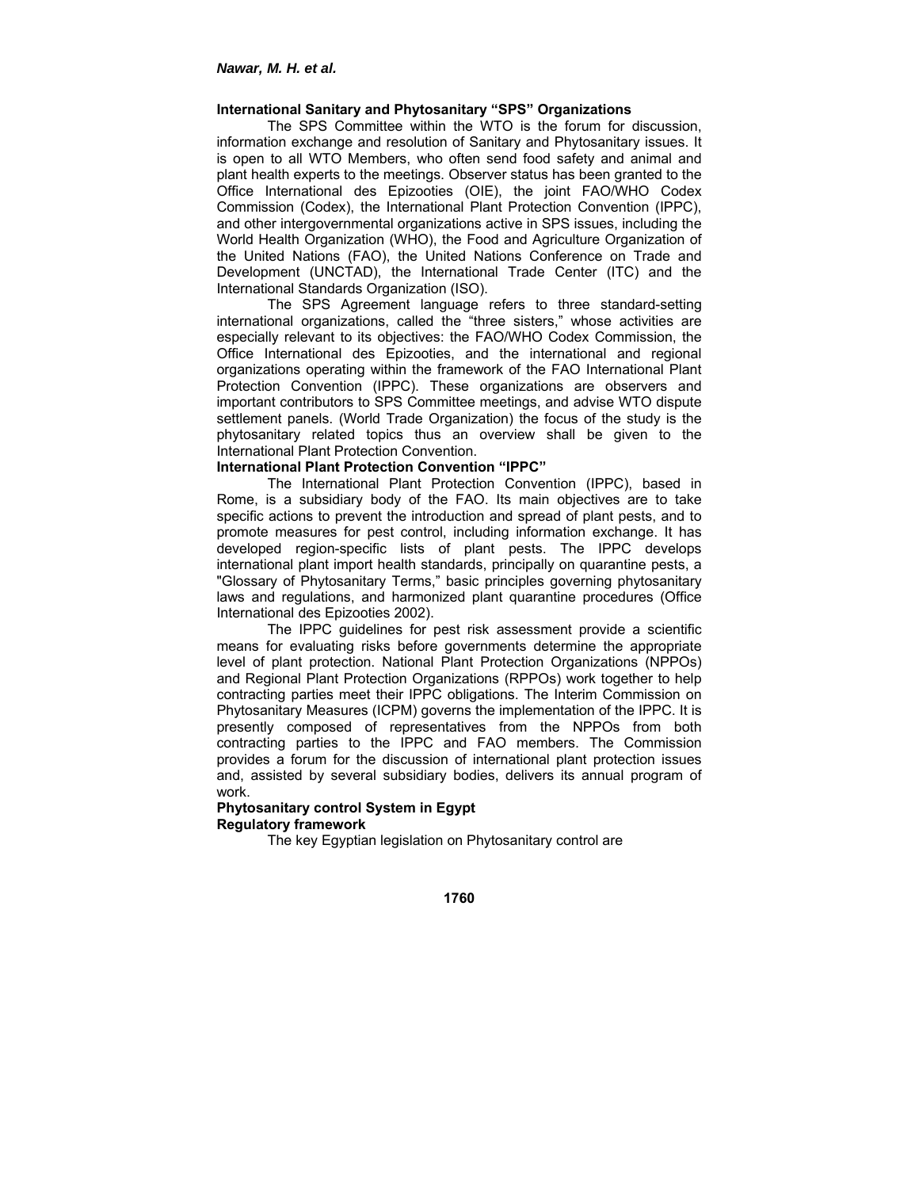### **International Sanitary and Phytosanitary "SPS" Organizations**

The SPS Committee within the WTO is the forum for discussion, information exchange and resolution of Sanitary and Phytosanitary issues. It is open to all WTO Members, who often send food safety and animal and plant health experts to the meetings. Observer status has been granted to the Office International des Epizooties (OIE), the joint FAO/WHO Codex Commission (Codex), the International Plant Protection Convention (IPPC), and other intergovernmental organizations active in SPS issues, including the World Health Organization (WHO), the Food and Agriculture Organization of the United Nations (FAO), the United Nations Conference on Trade and Development (UNCTAD), the International Trade Center (ITC) and the International Standards Organization (ISO).

The SPS Agreement language refers to three standard-setting international organizations, called the "three sisters," whose activities are especially relevant to its objectives: the FAO/WHO Codex Commission, the Office International des Epizooties, and the international and regional organizations operating within the framework of the FAO International Plant Protection Convention (IPPC). These organizations are observers and important contributors to SPS Committee meetings, and advise WTO dispute settlement panels. (World Trade Organization) the focus of the study is the phytosanitary related topics thus an overview shall be given to the International Plant Protection Convention.

### **International Plant Protection Convention "IPPC"**

The International Plant Protection Convention (IPPC), based in Rome, is a subsidiary body of the FAO. Its main objectives are to take specific actions to prevent the introduction and spread of plant pests, and to promote measures for pest control, including information exchange. It has developed region-specific lists of plant pests. The IPPC develops international plant import health standards, principally on quarantine pests, a "Glossary of Phytosanitary Terms," basic principles governing phytosanitary laws and regulations, and harmonized plant quarantine procedures (Office International des Epizooties 2002).

The IPPC guidelines for pest risk assessment provide a scientific means for evaluating risks before governments determine the appropriate level of plant protection. National Plant Protection Organizations (NPPOs) and Regional Plant Protection Organizations (RPPOs) work together to help contracting parties meet their IPPC obligations. The Interim Commission on Phytosanitary Measures (ICPM) governs the implementation of the IPPC. It is presently composed of representatives from the NPPOs from both contracting parties to the IPPC and FAO members. The Commission provides a forum for the discussion of international plant protection issues and, assisted by several subsidiary bodies, delivers its annual program of work.

## **Phytosanitary control System in Egypt Regulatory framework**

The key Egyptian legislation on Phytosanitary control are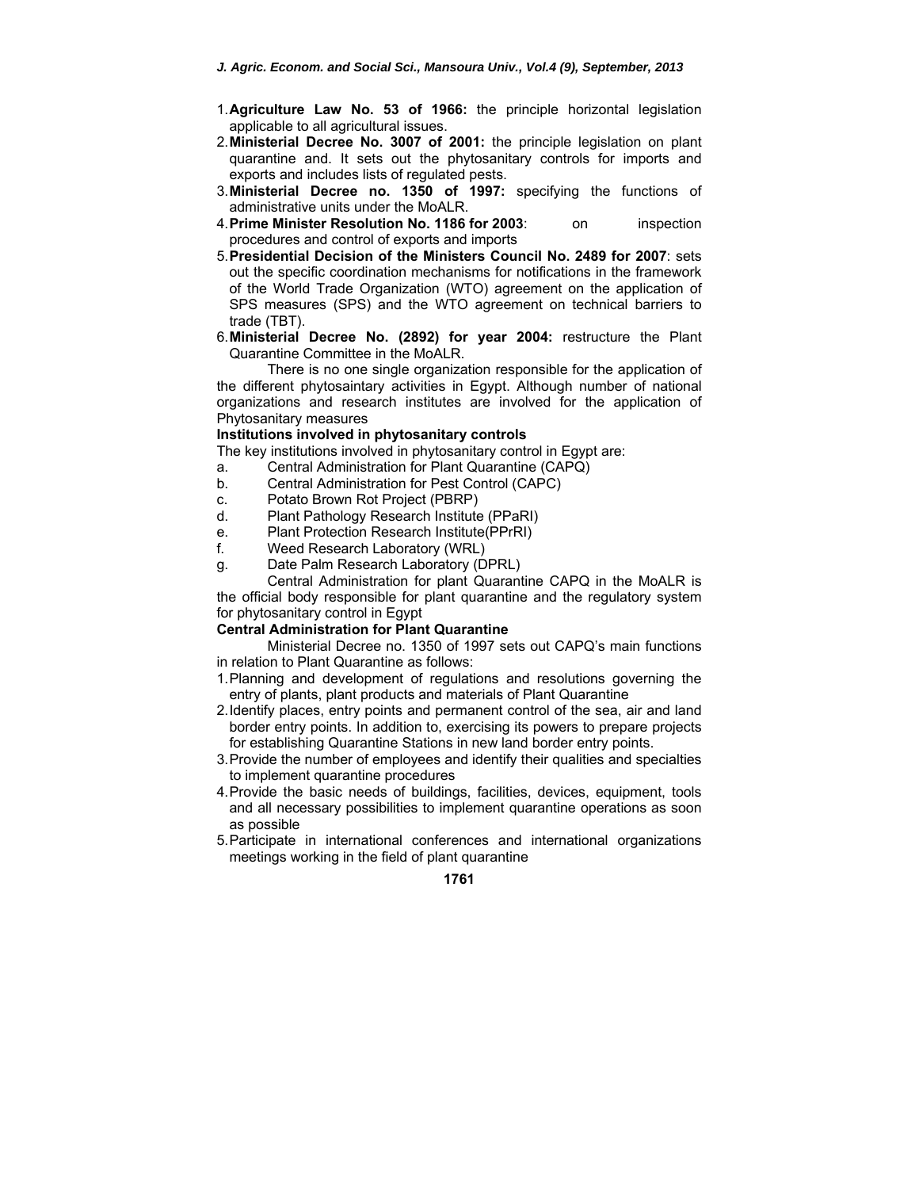- 1. **Agriculture Law No. 53 of 1966:** the principle horizontal legislation applicable to all agricultural issues.
- 2. **Ministerial Decree No. 3007 of 2001:** the principle legislation on plant quarantine and. It sets out the phytosanitary controls for imports and exports and includes lists of regulated pests.
- 3. **Ministerial Decree no. 1350 of 1997:** specifying the functions of administrative units under the MoALR.
- 4. **Prime Minister Resolution No. 1186 for 2003**: on inspection procedures and control of exports and imports
- 5. **Presidential Decision of the Ministers Council No. 2489 for 2007**: sets out the specific coordination mechanisms for notifications in the framework of the World Trade Organization (WTO) agreement on the application of SPS measures (SPS) and the WTO agreement on technical barriers to trade (TBT).
- 6. **Ministerial Decree No. (2892) for year 2004:** restructure the Plant Quarantine Committee in the MoALR.

There is no one single organization responsible for the application of the different phytosaintary activities in Egypt. Although number of national organizations and research institutes are involved for the application of Phytosanitary measures

### **Institutions involved in phytosanitary controls**

The key institutions involved in phytosanitary control in Egypt are:

- a. Central Administration for Plant Quarantine (CAPQ)
- b. Central Administration for Pest Control (CAPC)
- c. Potato Brown Rot Project (PBRP)
- d. Plant Pathology Research Institute (PPaRI)
- e. Plant Protection Research Institute(PPrRI)
- f. Weed Research Laboratory (WRL)
- g. Date Palm Research Laboratory (DPRL)

Central Administration for plant Quarantine CAPQ in the MoALR is the official body responsible for plant quarantine and the regulatory system for phytosanitary control in Egypt

#### **Central Administration for Plant Quarantine**

Ministerial Decree no. 1350 of 1997 sets out CAPQ's main functions in relation to Plant Quarantine as follows:

- 1. Planning and development of regulations and resolutions governing the entry of plants, plant products and materials of Plant Quarantine
- 2. Identify places, entry points and permanent control of the sea, air and land border entry points. In addition to, exercising its powers to prepare projects for establishing Quarantine Stations in new land border entry points.
- 3. Provide the number of employees and identify their qualities and specialties to implement quarantine procedures
- 4. Provide the basic needs of buildings, facilities, devices, equipment, tools and all necessary possibilities to implement quarantine operations as soon as possible
- 5. Participate in international conferences and international organizations meetings working in the field of plant quarantine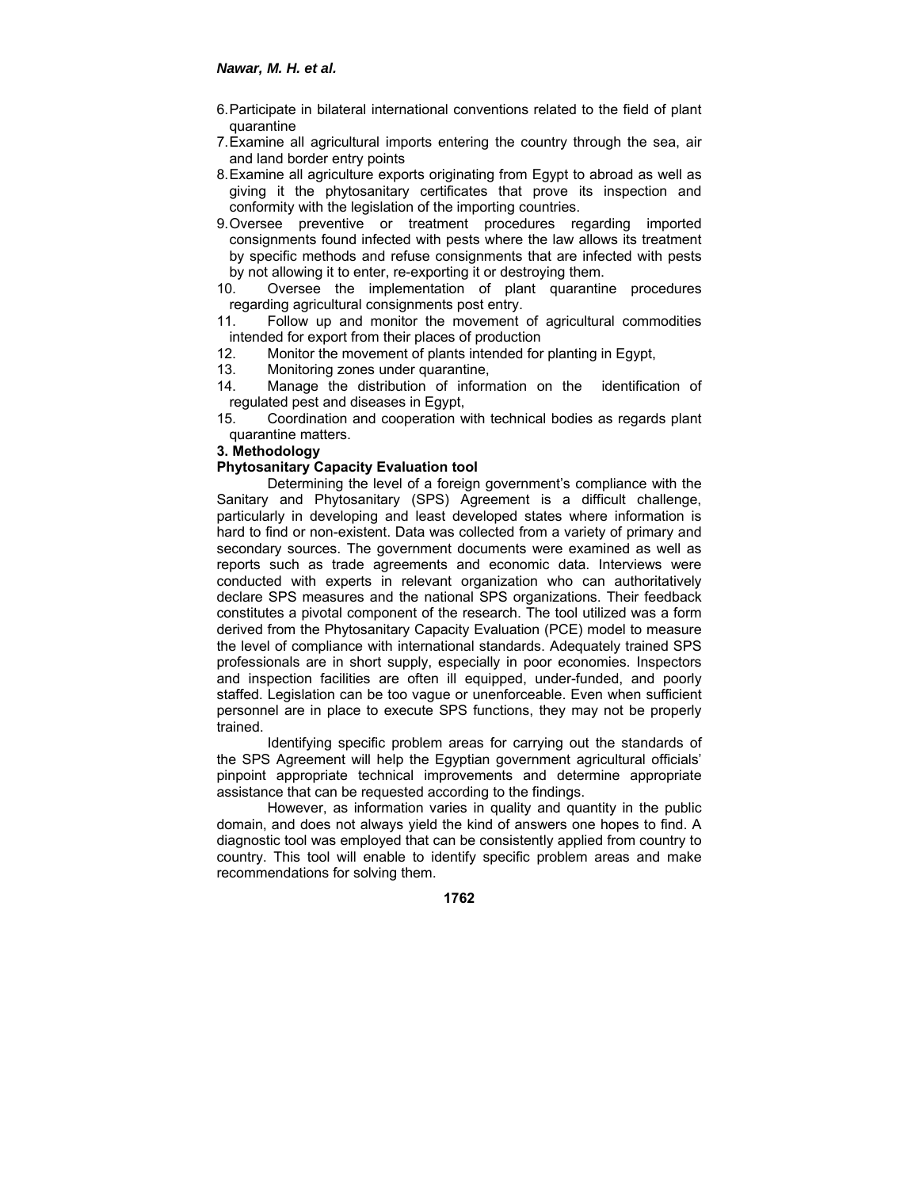- 6. Participate in bilateral international conventions related to the field of plant quarantine
- 7. Examine all agricultural imports entering the country through the sea, air and land border entry points
- 8. Examine all agriculture exports originating from Egypt to abroad as well as giving it the phytosanitary certificates that prove its inspection and conformity with the legislation of the importing countries.
- 9. Oversee preventive or treatment procedures regarding imported consignments found infected with pests where the law allows its treatment by specific methods and refuse consignments that are infected with pests by not allowing it to enter, re-exporting it or destroying them.
- 10. Oversee the implementation of plant quarantine procedures regarding agricultural consignments post entry.
- 11. Follow up and monitor the movement of agricultural commodities intended for export from their places of production
- 12. Monitor the movement of plants intended for planting in Egypt,
- 13. Monitoring zones under quarantine,
- 14. Manage the distribution of information on the identification of regulated pest and diseases in Egypt,
- 15. Coordination and cooperation with technical bodies as regards plant quarantine matters.

## **3. Methodology**

## **Phytosanitary Capacity Evaluation tool**

Determining the level of a foreign government's compliance with the Sanitary and Phytosanitary (SPS) Agreement is a difficult challenge, particularly in developing and least developed states where information is hard to find or non-existent. Data was collected from a variety of primary and secondary sources. The government documents were examined as well as reports such as trade agreements and economic data. Interviews were conducted with experts in relevant organization who can authoritatively declare SPS measures and the national SPS organizations. Their feedback constitutes a pivotal component of the research. The tool utilized was a form derived from the Phytosanitary Capacity Evaluation (PCE) model to measure the level of compliance with international standards. Adequately trained SPS professionals are in short supply, especially in poor economies. Inspectors and inspection facilities are often ill equipped, under-funded, and poorly staffed. Legislation can be too vague or unenforceable. Even when sufficient personnel are in place to execute SPS functions, they may not be properly trained.

Identifying specific problem areas for carrying out the standards of the SPS Agreement will help the Egyptian government agricultural officials' pinpoint appropriate technical improvements and determine appropriate assistance that can be requested according to the findings.

However, as information varies in quality and quantity in the public domain, and does not always yield the kind of answers one hopes to find. A diagnostic tool was employed that can be consistently applied from country to country. This tool will enable to identify specific problem areas and make recommendations for solving them.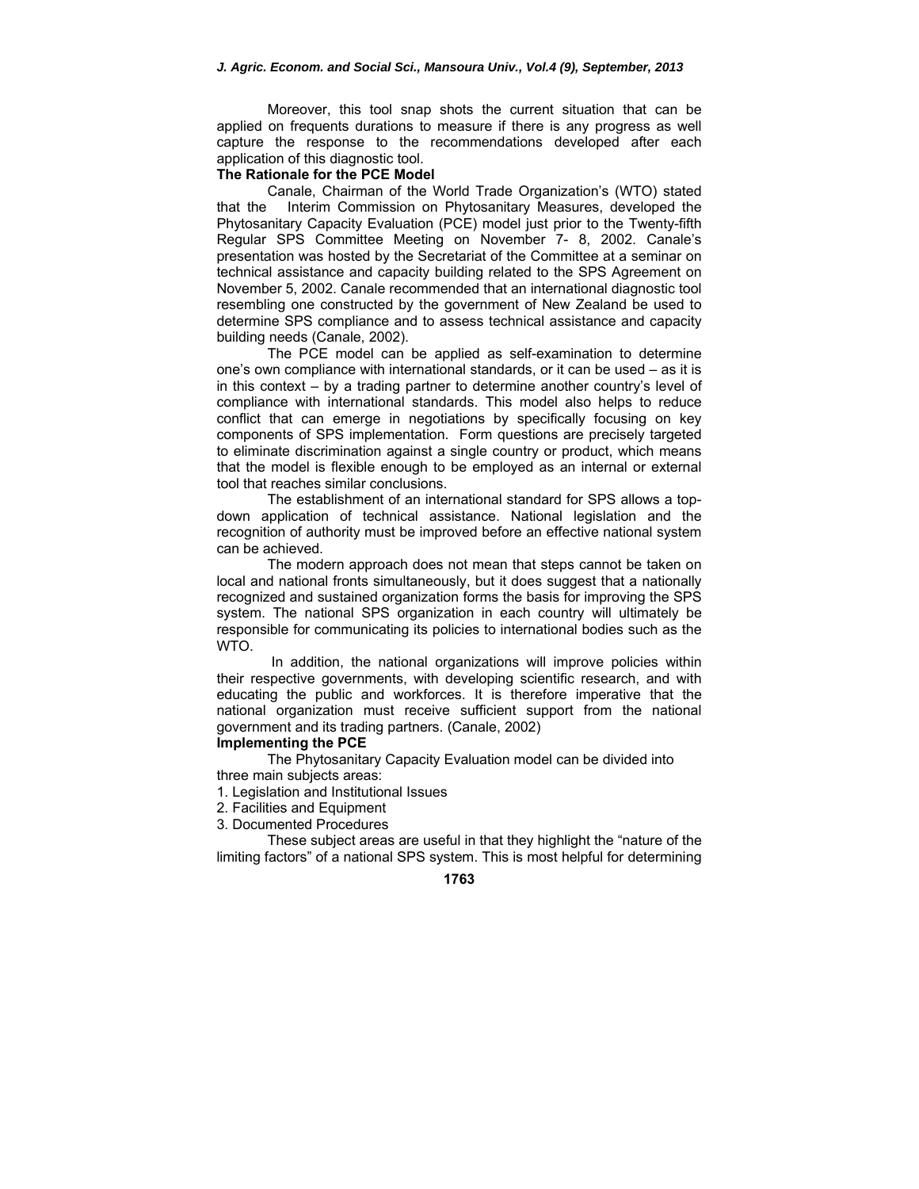Moreover, this tool snap shots the current situation that can be applied on frequents durations to measure if there is any progress as well capture the response to the recommendations developed after each application of this diagnostic tool.

## **The Rationale for the PCE Model**

Canale, Chairman of the World Trade Organization's (WTO) stated that the Interim Commission on Phytosanitary Measures, developed the Phytosanitary Capacity Evaluation (PCE) model just prior to the Twenty-fifth Regular SPS Committee Meeting on November 7- 8, 2002. Canale's presentation was hosted by the Secretariat of the Committee at a seminar on technical assistance and capacity building related to the SPS Agreement on November 5, 2002. Canale recommended that an international diagnostic tool resembling one constructed by the government of New Zealand be used to determine SPS compliance and to assess technical assistance and capacity building needs (Canale, 2002).

 The PCE model can be applied as self-examination to determine one's own compliance with international standards, or it can be used – as it is in this context – by a trading partner to determine another country's level of compliance with international standards. This model also helps to reduce conflict that can emerge in negotiations by specifically focusing on key components of SPS implementation. Form questions are precisely targeted to eliminate discrimination against a single country or product, which means that the model is flexible enough to be employed as an internal or external tool that reaches similar conclusions.

The establishment of an international standard for SPS allows a topdown application of technical assistance. National legislation and the recognition of authority must be improved before an effective national system can be achieved.

 The modern approach does not mean that steps cannot be taken on local and national fronts simultaneously, but it does suggest that a nationally recognized and sustained organization forms the basis for improving the SPS system. The national SPS organization in each country will ultimately be responsible for communicating its policies to international bodies such as the WTO.

 In addition, the national organizations will improve policies within their respective governments, with developing scientific research, and with educating the public and workforces. It is therefore imperative that the national organization must receive sufficient support from the national government and its trading partners. (Canale, 2002)

## **Implementing the PCE**

The Phytosanitary Capacity Evaluation model can be divided into three main subjects areas:

1. Legislation and Institutional Issues

2. Facilities and Equipment

3. Documented Procedures

These subject areas are useful in that they highlight the "nature of the limiting factors" of a national SPS system. This is most helpful for determining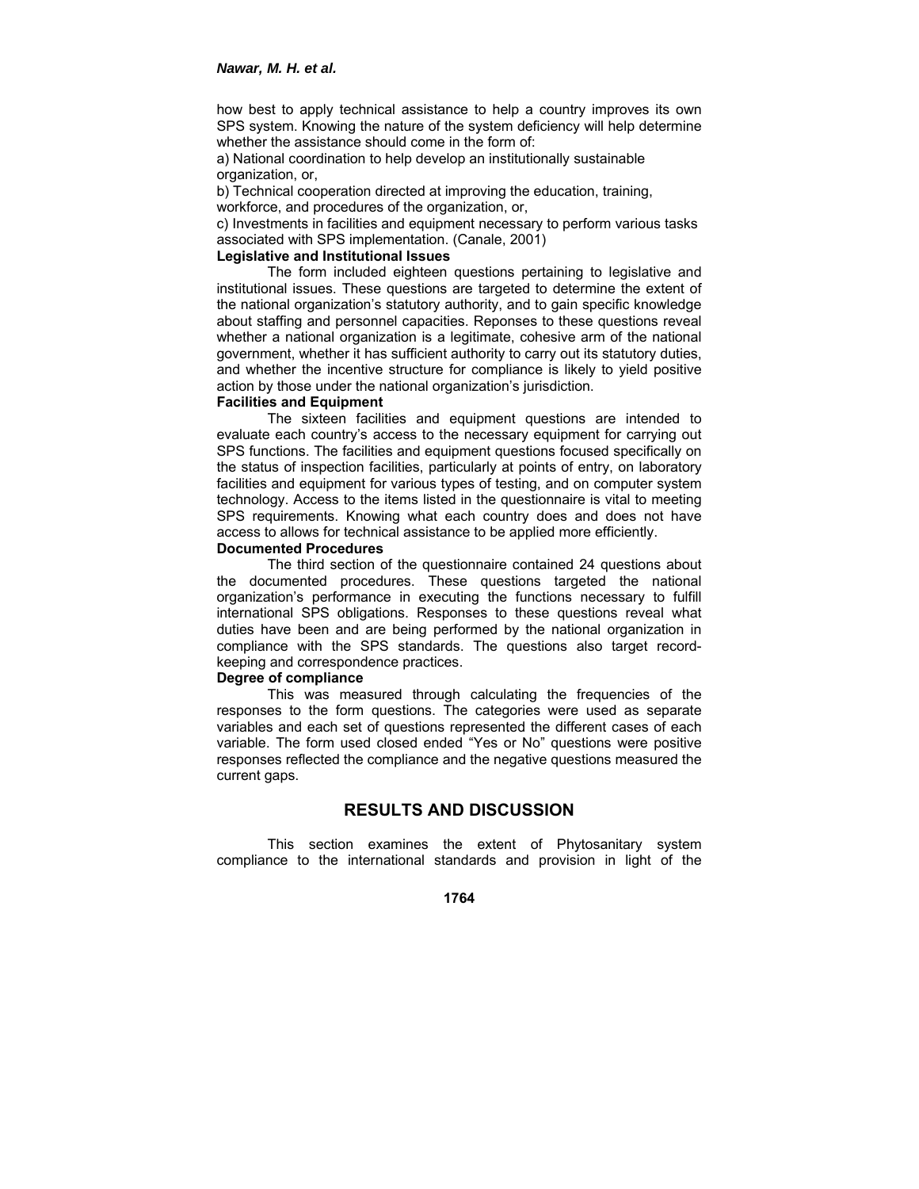## *Nawar, M. H. et al.*

how best to apply technical assistance to help a country improves its own SPS system. Knowing the nature of the system deficiency will help determine whether the assistance should come in the form of:

a) National coordination to help develop an institutionally sustainable organization, or,

b) Technical cooperation directed at improving the education, training,

workforce, and procedures of the organization, or,

c) Investments in facilities and equipment necessary to perform various tasks associated with SPS implementation. (Canale, 2001)

## **Legislative and Institutional Issues**

The form included eighteen questions pertaining to legislative and institutional issues. These questions are targeted to determine the extent of the national organization's statutory authority, and to gain specific knowledge about staffing and personnel capacities. Reponses to these questions reveal whether a national organization is a legitimate, cohesive arm of the national government, whether it has sufficient authority to carry out its statutory duties, and whether the incentive structure for compliance is likely to yield positive action by those under the national organization's jurisdiction.

## **Facilities and Equipment**

The sixteen facilities and equipment questions are intended to evaluate each country's access to the necessary equipment for carrying out SPS functions. The facilities and equipment questions focused specifically on the status of inspection facilities, particularly at points of entry, on laboratory facilities and equipment for various types of testing, and on computer system technology. Access to the items listed in the questionnaire is vital to meeting SPS requirements. Knowing what each country does and does not have access to allows for technical assistance to be applied more efficiently.

## **Documented Procedures**

The third section of the questionnaire contained 24 questions about the documented procedures. These questions targeted the national organization's performance in executing the functions necessary to fulfill international SPS obligations. Responses to these questions reveal what duties have been and are being performed by the national organization in compliance with the SPS standards. The questions also target recordkeeping and correspondence practices.

#### **Degree of compliance**

This was measured through calculating the frequencies of the responses to the form questions. The categories were used as separate variables and each set of questions represented the different cases of each variable. The form used closed ended "Yes or No" questions were positive responses reflected the compliance and the negative questions measured the current gaps.

## **RESULTS AND DISCUSSION**

This section examines the extent of Phytosanitary system compliance to the international standards and provision in light of the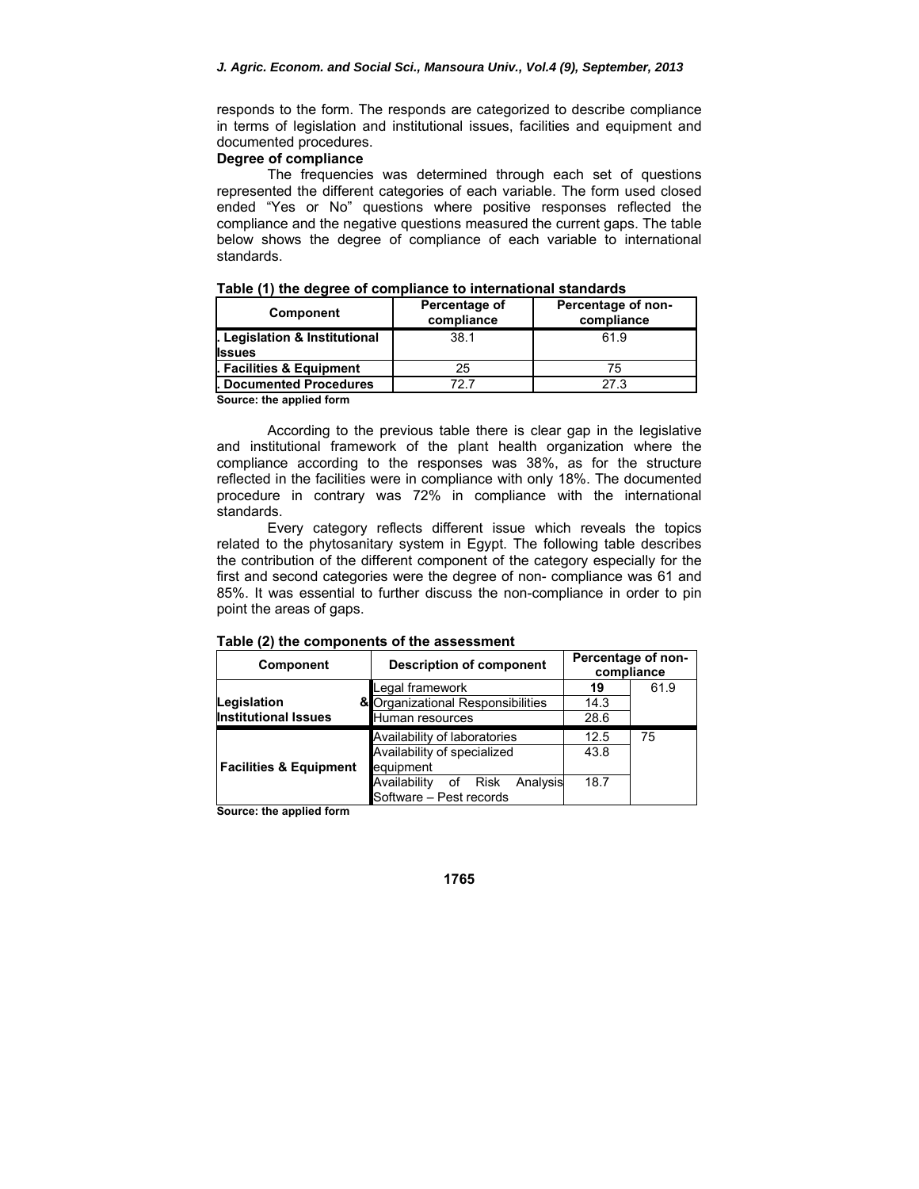responds to the form. The responds are categorized to describe compliance in terms of legislation and institutional issues, facilities and equipment and documented procedures.

#### **Degree of compliance**

The frequencies was determined through each set of questions represented the different categories of each variable. The form used closed ended "Yes or No" questions where positive responses reflected the compliance and the negative questions measured the current gaps. The table below shows the degree of compliance of each variable to international standards.

| Component                                    | Percentage of<br>compliance | Percentage of non-<br>compliance |
|----------------------------------------------|-----------------------------|----------------------------------|
| Legislation & Institutional<br><b>Issues</b> | 38.1                        | 61.9                             |
| . Facilities & Equipment                     | 25                          | 75                               |
| . Documented Procedures                      | 72 7                        | 27.3                             |
| Courses the contrad form                     |                             |                                  |

| Table (1) the degree of compliance to international standards |
|---------------------------------------------------------------|
|---------------------------------------------------------------|

**Source: the applied form** 

According to the previous table there is clear gap in the legislative and institutional framework of the plant health organization where the compliance according to the responses was 38%, as for the structure reflected in the facilities were in compliance with only 18%. The documented procedure in contrary was 72% in compliance with the international standards.

Every category reflects different issue which reveals the topics related to the phytosanitary system in Egypt. The following table describes the contribution of the different component of the category especially for the first and second categories were the degree of non- compliance was 61 and 85%. It was essential to further discuss the non-compliance in order to pin point the areas of gaps.

| Component                         | <b>Description of component</b>     | Percentage of non-<br>compliance |      |
|-----------------------------------|-------------------------------------|----------------------------------|------|
|                                   | Legal framework                     | 19                               | 61.9 |
| Legislation                       | Organizational Responsibilities     | 14.3                             |      |
| <b>Institutional Issues</b>       | Human resources                     | 28.6                             |      |
|                                   | Availability of laboratories        | 12.5                             | 75   |
|                                   | Availability of specialized         | 43.8                             |      |
| <b>Facilities &amp; Equipment</b> | equipment                           |                                  |      |
|                                   | Availability<br>Analysis<br>of Risk | 18.7                             |      |
|                                   | Software - Pest records             |                                  |      |

**Table (2) the components of the assessment** 

**Source: the applied form**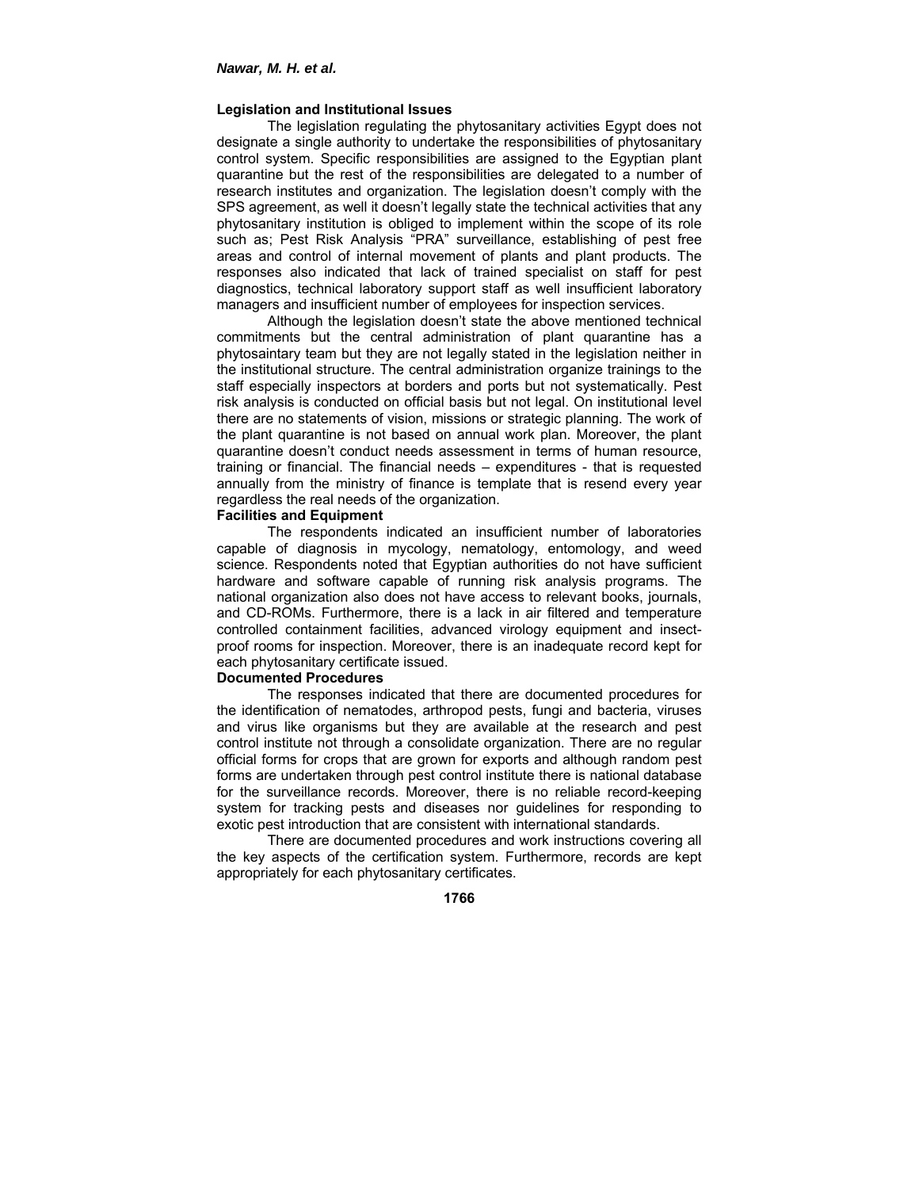## **Legislation and Institutional Issues**

The legislation regulating the phytosanitary activities Egypt does not designate a single authority to undertake the responsibilities of phytosanitary control system. Specific responsibilities are assigned to the Egyptian plant quarantine but the rest of the responsibilities are delegated to a number of research institutes and organization. The legislation doesn't comply with the SPS agreement, as well it doesn't legally state the technical activities that any phytosanitary institution is obliged to implement within the scope of its role such as; Pest Risk Analysis "PRA" surveillance, establishing of pest free areas and control of internal movement of plants and plant products. The responses also indicated that lack of trained specialist on staff for pest diagnostics, technical laboratory support staff as well insufficient laboratory managers and insufficient number of employees for inspection services.

Although the legislation doesn't state the above mentioned technical commitments but the central administration of plant quarantine has a phytosaintary team but they are not legally stated in the legislation neither in the institutional structure. The central administration organize trainings to the staff especially inspectors at borders and ports but not systematically. Pest risk analysis is conducted on official basis but not legal. On institutional level there are no statements of vision, missions or strategic planning. The work of the plant quarantine is not based on annual work plan. Moreover, the plant quarantine doesn't conduct needs assessment in terms of human resource, training or financial. The financial needs – expenditures - that is requested annually from the ministry of finance is template that is resend every year regardless the real needs of the organization.

## **Facilities and Equipment**

The respondents indicated an insufficient number of laboratories capable of diagnosis in mycology, nematology, entomology, and weed science. Respondents noted that Egyptian authorities do not have sufficient hardware and software capable of running risk analysis programs. The national organization also does not have access to relevant books, journals, and CD-ROMs. Furthermore, there is a lack in air filtered and temperature controlled containment facilities, advanced virology equipment and insectproof rooms for inspection. Moreover, there is an inadequate record kept for each phytosanitary certificate issued.

#### **Documented Procedures**

The responses indicated that there are documented procedures for the identification of nematodes, arthropod pests, fungi and bacteria, viruses and virus like organisms but they are available at the research and pest control institute not through a consolidate organization. There are no regular official forms for crops that are grown for exports and although random pest forms are undertaken through pest control institute there is national database for the surveillance records. Moreover, there is no reliable record-keeping system for tracking pests and diseases nor guidelines for responding to exotic pest introduction that are consistent with international standards.

There are documented procedures and work instructions covering all the key aspects of the certification system. Furthermore, records are kept appropriately for each phytosanitary certificates.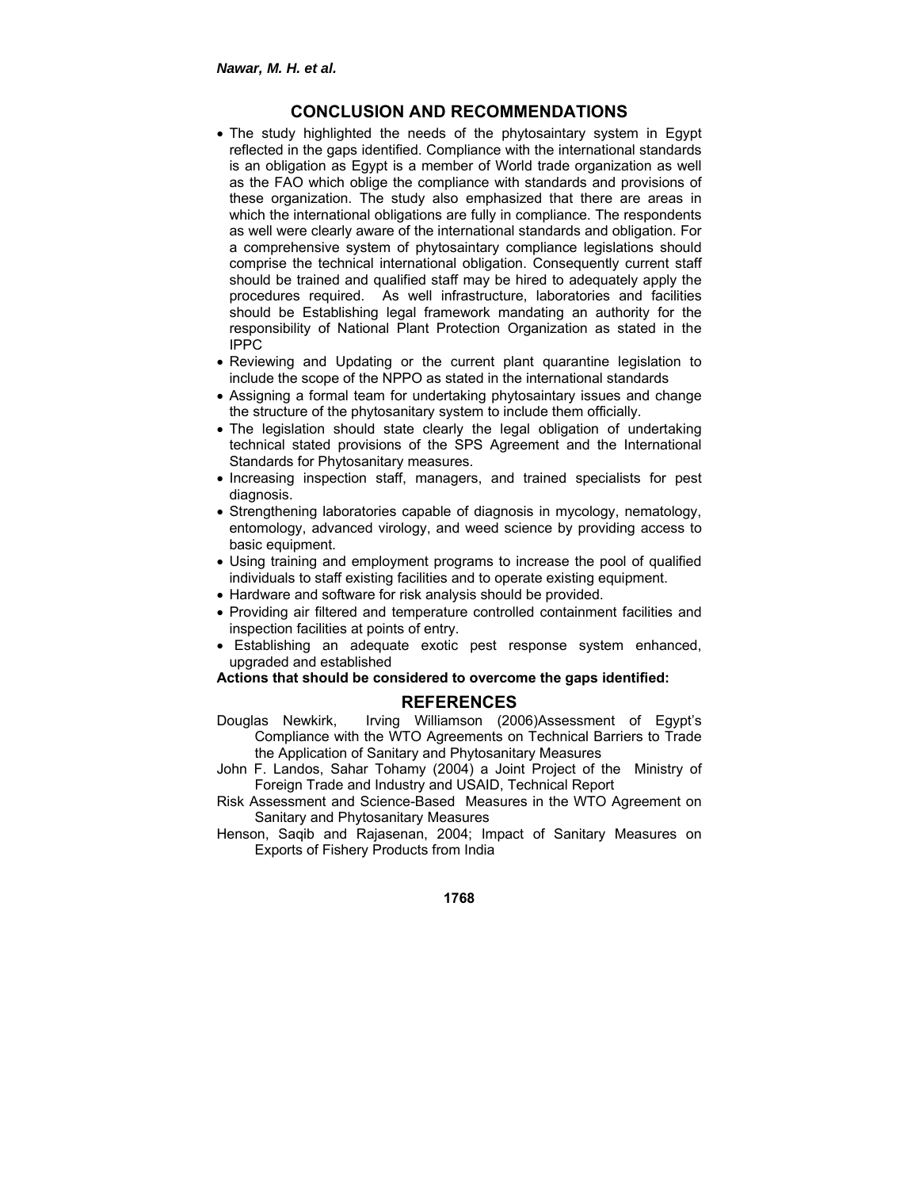# **CONCLUSION AND RECOMMENDATIONS**

- The study highlighted the needs of the phytosaintary system in Egypt reflected in the gaps identified. Compliance with the international standards is an obligation as Egypt is a member of World trade organization as well as the FAO which oblige the compliance with standards and provisions of these organization. The study also emphasized that there are areas in which the international obligations are fully in compliance. The respondents as well were clearly aware of the international standards and obligation. For a comprehensive system of phytosaintary compliance legislations should comprise the technical international obligation. Consequently current staff should be trained and qualified staff may be hired to adequately apply the procedures required. As well infrastructure, laboratories and facilities should be Establishing legal framework mandating an authority for the responsibility of National Plant Protection Organization as stated in the IPPC
- Reviewing and Updating or the current plant quarantine legislation to include the scope of the NPPO as stated in the international standards
- Assigning a formal team for undertaking phytosaintary issues and change the structure of the phytosanitary system to include them officially.
- The legislation should state clearly the legal obligation of undertaking technical stated provisions of the SPS Agreement and the International Standards for Phytosanitary measures.
- Increasing inspection staff, managers, and trained specialists for pest diagnosis.
- Strengthening laboratories capable of diagnosis in mycology, nematology, entomology, advanced virology, and weed science by providing access to basic equipment.
- Using training and employment programs to increase the pool of qualified individuals to staff existing facilities and to operate existing equipment.
- Hardware and software for risk analysis should be provided.
- Providing air filtered and temperature controlled containment facilities and inspection facilities at points of entry.
- Establishing an adequate exotic pest response system enhanced, upgraded and established

## **Actions that should be considered to overcome the gaps identified:**

## **REFERENCES**

- Douglas Newkirk, Irving Williamson (2006)Assessment of Egypt's Compliance with the WTO Agreements on Technical Barriers to Trade the Application of Sanitary and Phytosanitary Measures
- John F. Landos, Sahar Tohamy (2004) a Joint Project of the Ministry of Foreign Trade and Industry and USAID, Technical Report
- Risk Assessment and Science-Based Measures in the WTO Agreement on Sanitary and Phytosanitary Measures
- Henson, Saqib and Rajasenan, 2004; Impact of Sanitary Measures on Exports of Fishery Products from India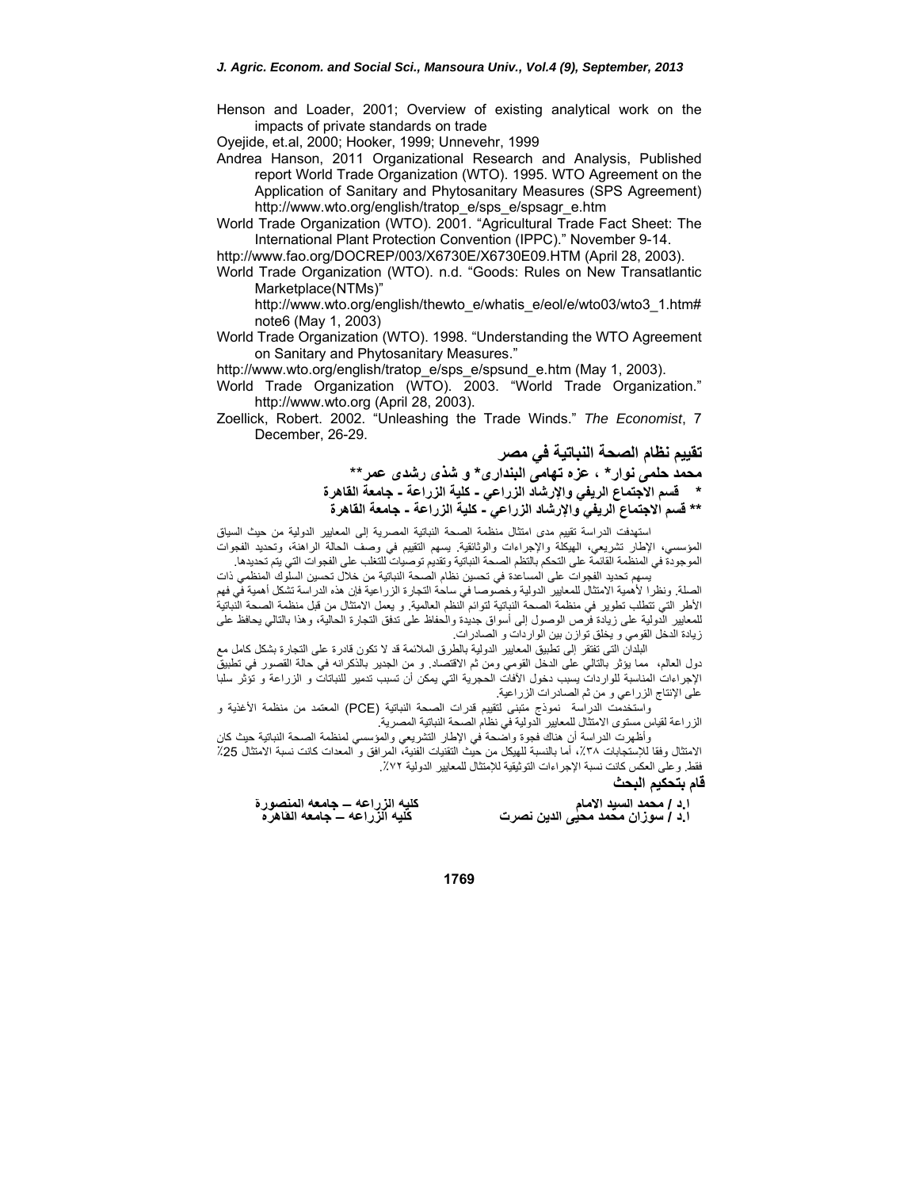Henson and Loader, 2001; Overview of existing analytical work on the impacts of private standards on trade

Oyejide, et.al, 2000; Hooker, 1999; Unnevehr, 1999

Andrea Hanson, 2011 Organizational Research and Analysis, Published report World Trade Organization (WTO). 1995. WTO Agreement on the Application of Sanitary and Phytosanitary Measures (SPS Agreement) http://www.wto.org/english/tratop\_e/sps\_e/spsagr\_e.htm

World Trade Organization (WTO). 2001. "Agricultural Trade Fact Sheet: The International Plant Protection Convention (IPPC)." November 9-14.

http://www.fao.org/DOCREP/003/X6730E/X6730E09.HTM (April 28, 2003).

World Trade Organization (WTO). n.d. "Goods: Rules on New Transatlantic Marketplace(NTMs)"

http://www.wto.org/english/thewto\_e/whatis\_e/eol/e/wto03/wto3\_1.htm# note6 (May 1, 2003)

World Trade Organization (WTO). 1998. "Understanding the WTO Agreement on Sanitary and Phytosanitary Measures."

http://www.wto.org/english/tratop\_e/sps\_e/spsund\_e.htm (May 1, 2003).

World Trade Organization (WTO). 2003. "World Trade Organization." http://www.wto.org (April 28, 2003).

Zoellick, Robert. 2002. "Unleashing the Trade Winds." *The Economist*, 7 December, 26-29.

**تقييم نظام الصحة النباتية في مصر** 

# **محمد حلمى نوار\* ، عزه تھامى البندارى\* و شذى رشدى عمر**\*\* **\* قسم االجتماع الريفي واإلرشاد الزراعي - كلية الزراعة - جامعة القاھرة \*\* قسم االجتماع الريفي واإلرشاد الزراعي - كلية الزراعة - جامعة القاھرة**

استھدفت الدراسة تقييم مدى امتثال منظمة الصحة النباتية المصرية إلى المعايير الدولية من حيث السياق المؤسسي، اإلطار تشريعي، الھيكلة واإلجراءات والوثائقية. يسھم التقييم في وصف الحالة الراھنة، وتحديد الفجوات الموجودة في المنظمة القائمة على التحكم بالتظم الصحة النباتية وتقديم توصيات للتغلب على الفجوات التي يتم تحديدھا.

يسھم تحديد الفجوات على المساعدة في تحسين نظام الصحة النباتية من خالل تحسين السلوك المنظمي ذات الصلة. ونظرا ألھمية االمتثال للمعايير الدولية وخصوصا في ساحة التجارة الزراعية فإن ھذه الدراسة تشكل أھمية في فھم األطر التي تتطلب تطوير في منظمة الصحة النباتية لتوائم النظم العالمية. و يعمل االمتثال من قبل منظمة الصحة النباتية للمعايير الدولية على زيادة فرص الوصول إلى أسواق جديدة والحفاظ على تدفق التجارة الحالية، وھذا بالتالي يحافظ على زيادة الدخل القومي و يخلق توازن بين الواردات و الصادرات.

البلدان التى تفتقر إلى تطبيق المعايير الدولية بالطرق المالئمة قد ال تكون قادرة على التجارة بشكل كامل مع دول العالم، مما يؤثر بالتالي على الدخل القومي ومن ثم االقتصاد. و من الجدير بالذكرانه في حالة القصور في تطبيق اإلجراءات المناسبة للواردات يسبب دخول اآلفات الحجرية التي يمكن أن تسبب تدمير للنباتات و الزراعة و تؤثر سلبا على اإلنتاج الزراعي و من ثم الصادرات الزراعية.

واستخدمت الدراسة نموذج متبنى لتقييم قدرات الصحة النباتية (PCE (المعتمد من منظمة األغذية و الزراعة لقياس مستوى االمتثال للمعايير الدولية في نظام الصحة النباتية المصرية.

وأظھرت الدراسة أن ھناك فجوة واضحة في اإلطار التشريعي والمؤسسي لمنظمة الصحة النباتية حيث كان الامتثال وفقا للإستجابات ٣٨٪، أما بالنسبة للهيكل من حيث التقنيات الفنية، المرافق و المعدات كانت نسبة الامتثال 25٪ فقط. وعلى العكس كانت نسبة اإلجراءات التوثيقية لإلمتثال للمعايير الدولية .٪٧٢

**قام بتحكيم البحث** 

**<sup>أ</sup>.<sup>د</sup> / سوزان محمد محيى الدين نصرت كلية الزراعة – جامعة القاھره <sup>أ</sup>.<sup>د</sup> / محمد السيد االمام كلية الزراعة – جامعة المنصورة**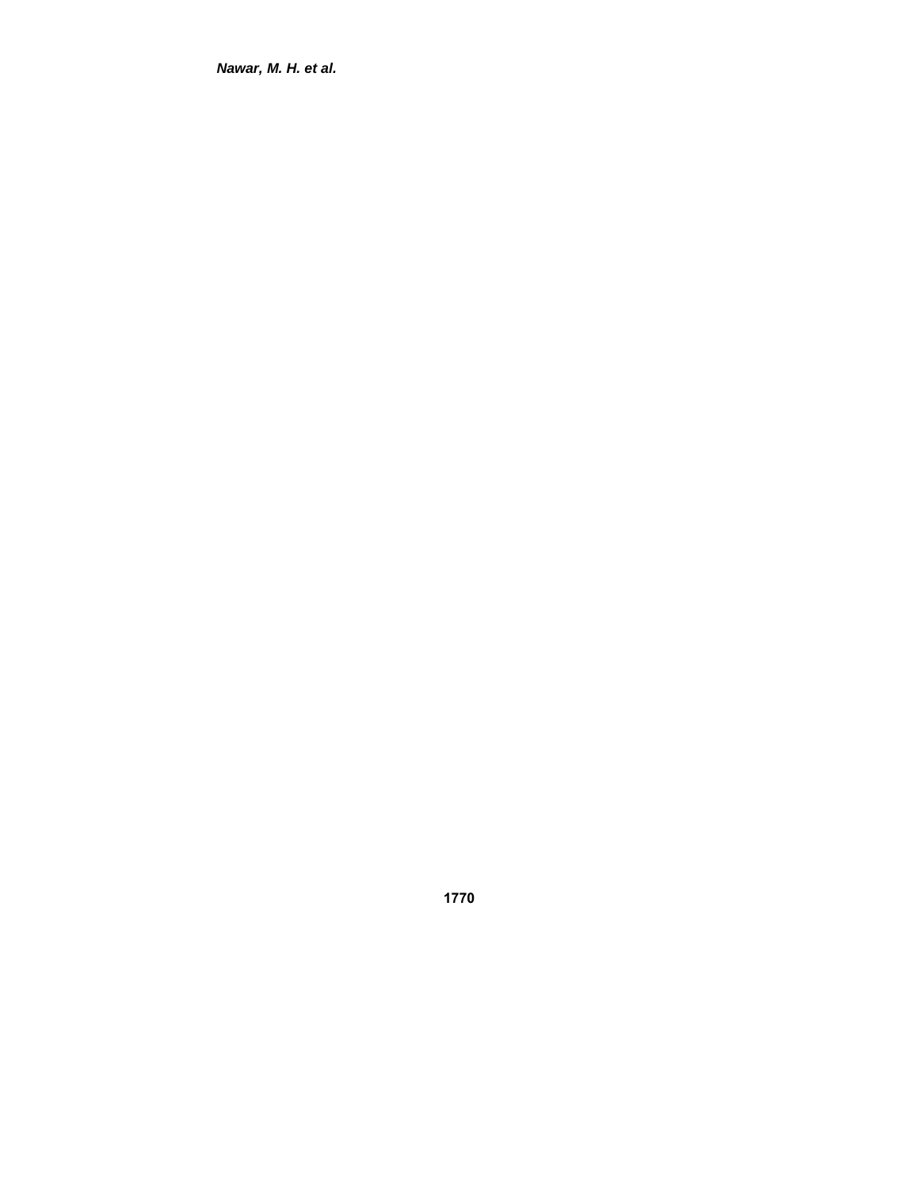*Nawar, M. H. et al.*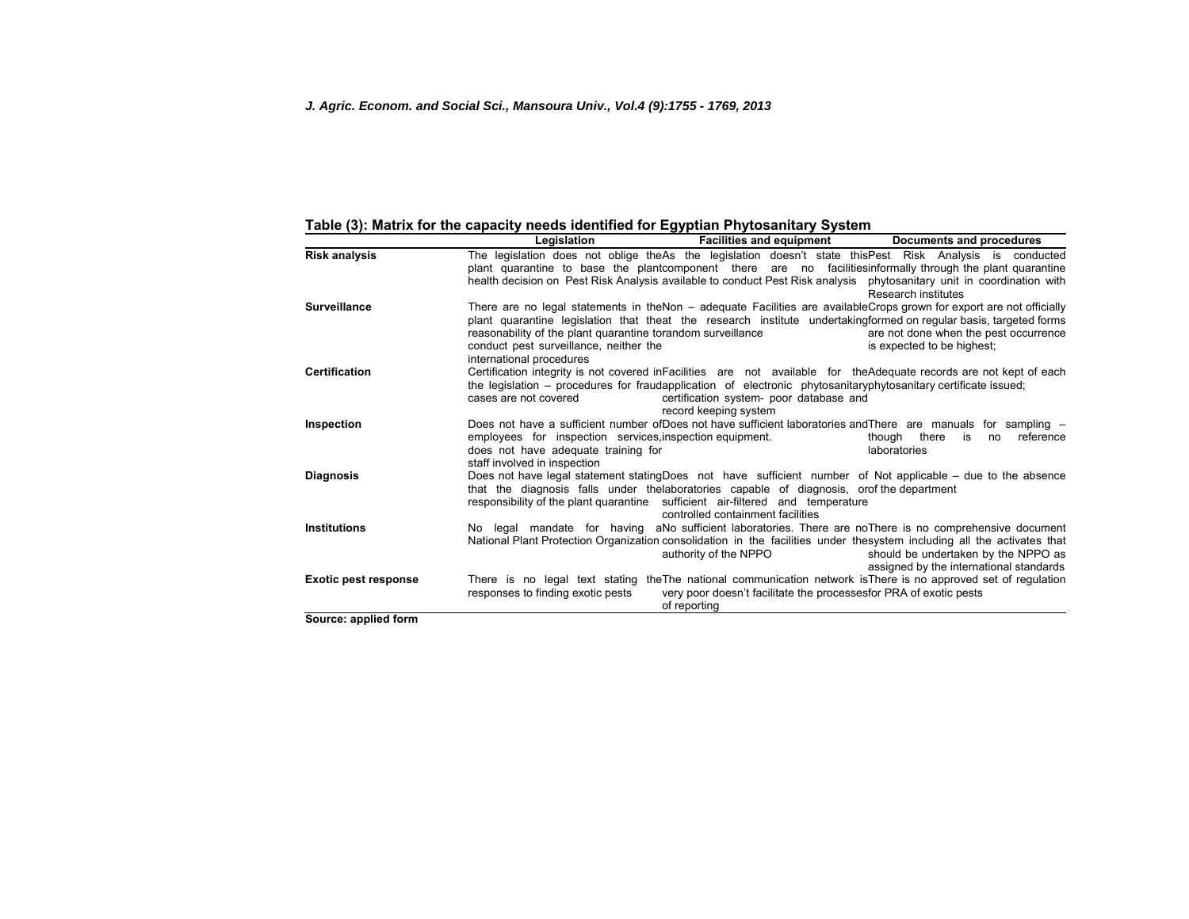|  | Table (3): Matrix for the capacity needs identified for Egyptian Phytosanitary System |  |
|--|---------------------------------------------------------------------------------------|--|
|  |                                                                                       |  |

|                                                                                                                                                                                                                                | Legislation<br><b>Facilities and equipment</b><br>Documents and procedures                                                                                                              |
|--------------------------------------------------------------------------------------------------------------------------------------------------------------------------------------------------------------------------------|-----------------------------------------------------------------------------------------------------------------------------------------------------------------------------------------|
| <b>Risk analysis</b>                                                                                                                                                                                                           | The legislation does not oblige the As the legislation doesn't state this Pest Risk Analysis is conducted                                                                               |
|                                                                                                                                                                                                                                | plant quarantine to base the plantcomponent there are no facilitiesinformally through the plant quarantine                                                                              |
|                                                                                                                                                                                                                                | health decision on Pest Risk Analysis available to conduct Pest Risk analysis phytosanitary unit in coordination with                                                                   |
|                                                                                                                                                                                                                                | Research institutes                                                                                                                                                                     |
| <b>Surveillance</b>                                                                                                                                                                                                            | There are no legal statements in theNon – adequate Facilities are availableCrops grown for export are not officially                                                                    |
|                                                                                                                                                                                                                                | plant quarantine legislation that theat the research institute undertakingformed on regular basis, targeted forms                                                                       |
|                                                                                                                                                                                                                                | reasonability of the plant quarantine torandom surveillance<br>are not done when the pest occurrence                                                                                    |
|                                                                                                                                                                                                                                | conduct pest surveillance, neither the<br>is expected to be highest;<br>international procedures                                                                                        |
| <b>Certification</b>                                                                                                                                                                                                           | Certification integrity is not covered in Facilities are not available for the Adequate records are not kept of each                                                                    |
|                                                                                                                                                                                                                                | the legislation – procedures for fraudapplication of electronic phytosanitaryphytosanitary certificate issued;                                                                          |
|                                                                                                                                                                                                                                | cases are not covered<br>certification system- poor database and                                                                                                                        |
|                                                                                                                                                                                                                                | record keeping system                                                                                                                                                                   |
| Inspection                                                                                                                                                                                                                     | Does not have a sufficient number ofDoes not have sufficient laboratories and There are manuals for sampling -                                                                          |
|                                                                                                                                                                                                                                | employees for inspection services, inspection equipment.<br>there<br>though<br>reference<br>is<br>no                                                                                    |
|                                                                                                                                                                                                                                | does not have adequate training for<br>laboratories                                                                                                                                     |
|                                                                                                                                                                                                                                | staff involved in inspection                                                                                                                                                            |
| <b>Diagnosis</b>                                                                                                                                                                                                               | Does not have legal statement statingDoes not have sufficient number of Not applicable – due to the absence                                                                             |
|                                                                                                                                                                                                                                | that the diagnosis falls under the laboratories capable of diagnosis, or of the department                                                                                              |
|                                                                                                                                                                                                                                | responsibility of the plant quarantine sufficient air-filtered and temperature                                                                                                          |
|                                                                                                                                                                                                                                | controlled containment facilities                                                                                                                                                       |
| <b>Institutions</b>                                                                                                                                                                                                            | No legal mandate for having aNo sufficient laboratories. There are noThere is no comprehensive document                                                                                 |
|                                                                                                                                                                                                                                | National Plant Protection Organization consolidation in the facilities under thesystem including all the activates that<br>authority of the NPPO<br>should be undertaken by the NPPO as |
|                                                                                                                                                                                                                                | assigned by the international standards                                                                                                                                                 |
| <b>Exotic pest response</b>                                                                                                                                                                                                    | There is no legal text stating the The national communication network is There is no approved set of regulation                                                                         |
|                                                                                                                                                                                                                                | responses to finding exotic pests<br>very poor doesn't facilitate the processes for PRA of exotic pests                                                                                 |
|                                                                                                                                                                                                                                | of reporting                                                                                                                                                                            |
| Correspondent of Corresponding to the corresponding to the corresponding to the corresponding to the corresponding to the corresponding to the corresponding to the corresponding of the corresponding of the corresponding of |                                                                                                                                                                                         |

**Source: applied form**